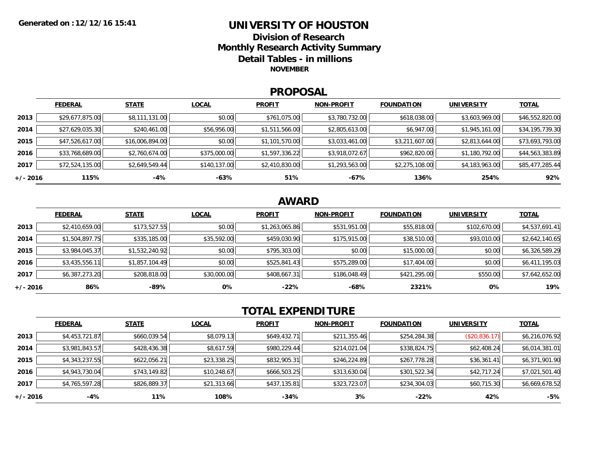### **UNIVERSITY OF HOUSTONDivision of ResearchMonthly Research Activity Summary Detail Tables - in millions NOVEMBER**

### **PROPOSAL**

|            | <b>FEDERAL</b>  | <b>STATE</b>    | <b>LOCAL</b> | <b>PROFIT</b>  | <b>NON-PROFIT</b> | <b>FOUNDATION</b> | <b>UNIVERSITY</b> | <u>TOTAL</u>    |
|------------|-----------------|-----------------|--------------|----------------|-------------------|-------------------|-------------------|-----------------|
| 2013       | \$29,677,875.00 | \$8,111,131.00  | \$0.00       | \$761,075.00   | \$3,780,732.00    | \$618,038.00      | \$3,603,969.00    | \$46,552,820.00 |
| 2014       | \$27,629,035.30 | \$240,461.00    | \$56,956.00  | \$1,511,566.00 | \$2,805,613.00    | \$6,947.00        | \$1,945,161.00    | \$34,195,739.30 |
| 2015       | \$47,526,617.00 | \$16,006,894.00 | \$0.00       | \$1,101,570.00 | \$3,033,461.00    | \$3,211,607.00    | \$2,813,644.00    | \$73,693,793.00 |
| 2016       | \$33,768,689.00 | \$2,760,674.00  | \$375,000.00 | \$1,597,336.22 | \$3,918,072.67    | \$962,820.00      | \$1,180,792.00    | \$44,563,383.89 |
| 2017       | \$72,524,135.00 | \$2,649,549.44  | \$140,137.00 | \$2,410,830.00 | \$1,293,563.00    | \$2,275,108.00    | \$4,183,963.00    | \$85,477,285.44 |
| $+/- 2016$ | 115%            | -4%             | -63%         | 51%            | -67%              | 136%              | 254%              | 92%             |

## **AWARD**

|          | <b>FEDERAL</b> | <b>STATE</b>   | <b>LOCAL</b> | <b>PROFIT</b>  | <b>NON-PROFIT</b> | <b>FOUNDATION</b> | <b>UNIVERSITY</b> | <b>TOTAL</b>   |
|----------|----------------|----------------|--------------|----------------|-------------------|-------------------|-------------------|----------------|
| 2013     | \$2,410,659.00 | \$173,527.55   | \$0.00       | \$1,263,065.86 | \$531,951.00      | \$55,818.00       | \$102,670.00      | \$4,537,691.41 |
| 2014     | \$1,504,897.75 | \$335,185.00   | \$35,592.00  | \$459,030.90   | \$175,915.00      | \$38,510.00       | \$93,010.00       | \$2,642,140.65 |
| 2015     | \$3,984,045.37 | \$1,532,240.92 | \$0.00       | \$795,303.00   | \$0.00            | \$15,000.00       | \$0.00            | \$6,326,589.29 |
| 2016     | \$3,435,556.11 | \$1,857,104.49 | \$0.00       | \$525,841.43   | \$575,289.00      | \$17,404.00       | \$0.00            | \$6,411,195.03 |
| 2017     | \$6,387,273.20 | \$208,818.00   | \$30,000.00  | \$408,667.31   | \$186,048.49      | \$421,295.00      | \$550.00          | \$7,642,652.00 |
| +/- 2016 | 86%            | $-89%$         | 0%           | $-22%$         | -68%              | 2321%             | 0%                | 19%            |

# **TOTAL EXPENDITURE**

|          | <b>FEDERAL</b> | <b>STATE</b> | <b>LOCAL</b> | <b>PROFIT</b> | <b>NON-PROFIT</b> | <b>FOUNDATION</b> | <b>UNIVERSITY</b> | <b>TOTAL</b>   |
|----------|----------------|--------------|--------------|---------------|-------------------|-------------------|-------------------|----------------|
| 2013     | \$4,453,721.87 | \$660,039.54 | \$8,079.13   | \$649,432.71  | \$211,355.46      | \$254,284.38      | (\$20,836.17)     | \$6,216,076.92 |
| 2014     | \$3,981,843.57 | \$428,436.38 | \$8,617.59   | \$980,229.44  | \$214,021.04      | \$338,824.75      | \$62,408.24       | \$6,014,381.01 |
| 2015     | \$4,343,237.55 | \$622,056.21 | \$23,338.25  | \$832,905.31  | \$246,224.89      | \$267,778.28      | \$36,361.41       | \$6,371,901.90 |
| 2016     | \$4,943,730.04 | \$743,149.82 | \$10,248.67  | \$666,503.25  | \$313,630.04      | \$301,522.34      | \$42,717.24       | \$7,021,501.40 |
| 2017     | \$4,765,597.28 | \$826,889.37 | \$21,313.66  | \$437,135.81  | \$323,723.07      | \$234,304.03      | \$60,715.30       | \$6,669,678.52 |
| +/- 2016 | -4%            | 11%          | 108%         | $-34%$        | 3%                | $-22%$            | 42%               | $-5%$          |